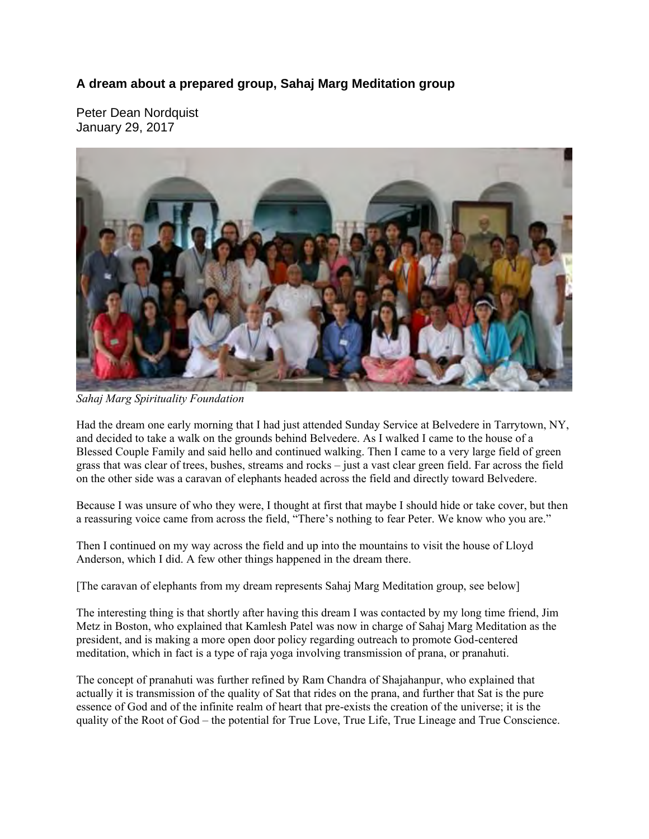## **A dream about a prepared group, Sahaj Marg Meditation group**

Peter Dean Nordquist January 29, 2017



*Sahaj Marg Spirituality Foundation* 

Had the dream one early morning that I had just attended Sunday Service at Belvedere in Tarrytown, NY, and decided to take a walk on the grounds behind Belvedere. As I walked I came to the house of a Blessed Couple Family and said hello and continued walking. Then I came to a very large field of green grass that was clear of trees, bushes, streams and rocks – just a vast clear green field. Far across the field on the other side was a caravan of elephants headed across the field and directly toward Belvedere.

Because I was unsure of who they were, I thought at first that maybe I should hide or take cover, but then a reassuring voice came from across the field, "There's nothing to fear Peter. We know who you are."

Then I continued on my way across the field and up into the mountains to visit the house of Lloyd Anderson, which I did. A few other things happened in the dream there.

[The caravan of elephants from my dream represents Sahaj Marg Meditation group, see below]

The interesting thing is that shortly after having this dream I was contacted by my long time friend, Jim Metz in Boston, who explained that Kamlesh Patel was now in charge of Sahaj Marg Meditation as the president, and is making a more open door policy regarding outreach to promote God-centered meditation, which in fact is a type of raja yoga involving transmission of prana, or pranahuti.

The concept of pranahuti was further refined by Ram Chandra of Shajahanpur, who explained that actually it is transmission of the quality of Sat that rides on the prana, and further that Sat is the pure essence of God and of the infinite realm of heart that pre-exists the creation of the universe; it is the quality of the Root of God – the potential for True Love, True Life, True Lineage and True Conscience.